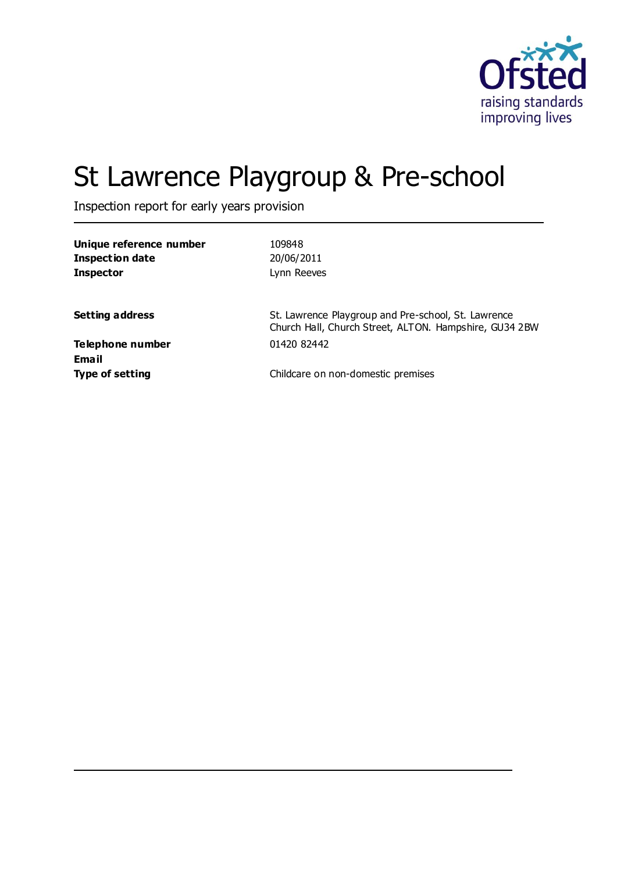

# St Lawrence Playgroup & Pre-school

Inspection report for early years provision

| Unique reference number<br><b>Inspection date</b> | 109848<br>20/06/2011                                                                                          |
|---------------------------------------------------|---------------------------------------------------------------------------------------------------------------|
| <b>Inspector</b>                                  | Lynn Reeves                                                                                                   |
| <b>Setting address</b>                            | St. Lawrence Playgroup and Pre-school, St. Lawrence<br>Church Hall, Church Street, ALTON. Hampshire, GU34 2BW |
| Telephone number<br>Email                         | 01420 82442                                                                                                   |
| <b>Type of setting</b>                            | Childcare on non-domestic premises                                                                            |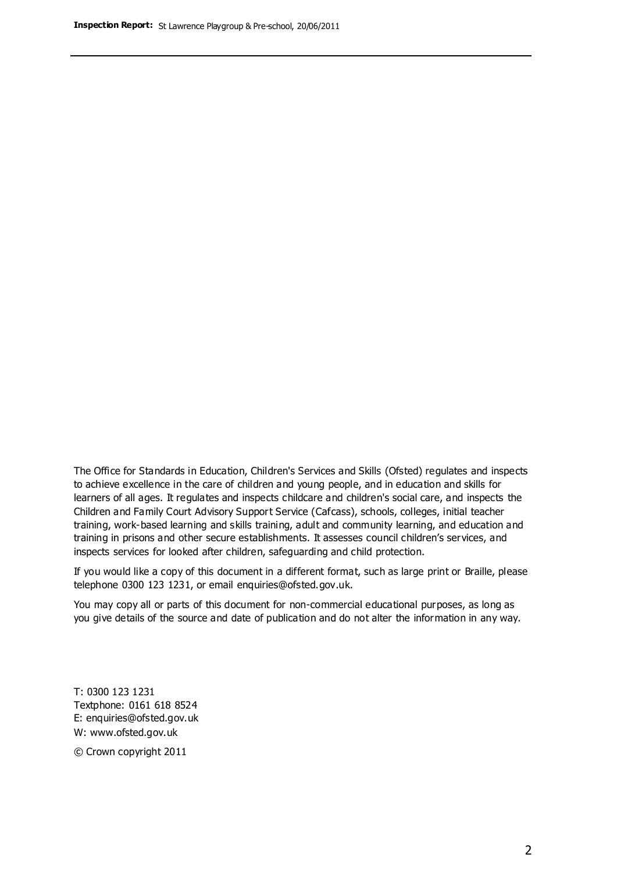The Office for Standards in Education, Children's Services and Skills (Ofsted) regulates and inspects to achieve excellence in the care of children and young people, and in education and skills for learners of all ages. It regulates and inspects childcare and children's social care, and inspects the Children and Family Court Advisory Support Service (Cafcass), schools, colleges, initial teacher training, work-based learning and skills training, adult and community learning, and education and training in prisons and other secure establishments. It assesses council children's services, and inspects services for looked after children, safeguarding and child protection.

If you would like a copy of this document in a different format, such as large print or Braille, please telephone 0300 123 1231, or email enquiries@ofsted.gov.uk.

You may copy all or parts of this document for non-commercial educational purposes, as long as you give details of the source and date of publication and do not alter the information in any way.

T: 0300 123 1231 Textphone: 0161 618 8524 E: enquiries@ofsted.gov.uk W: [www.ofsted.gov.uk](http://www.ofsted.gov.uk/)

© Crown copyright 2011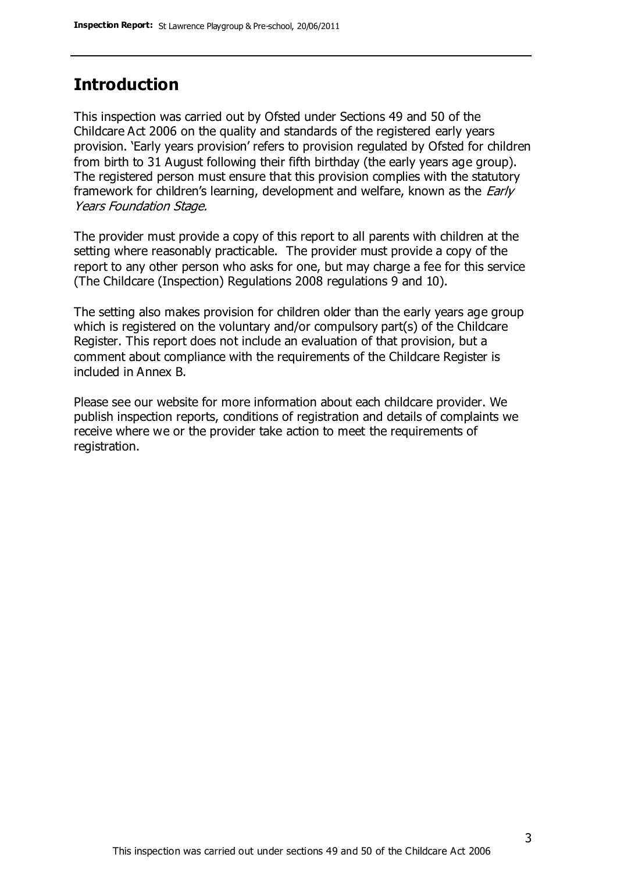### **Introduction**

This inspection was carried out by Ofsted under Sections 49 and 50 of the Childcare Act 2006 on the quality and standards of the registered early years provision. 'Early years provision' refers to provision regulated by Ofsted for children from birth to 31 August following their fifth birthday (the early years age group). The registered person must ensure that this provision complies with the statutory framework for children's learning, development and welfare, known as the *Early* Years Foundation Stage.

The provider must provide a copy of this report to all parents with children at the setting where reasonably practicable. The provider must provide a copy of the report to any other person who asks for one, but may charge a fee for this service (The Childcare (Inspection) Regulations 2008 regulations 9 and 10).

The setting also makes provision for children older than the early years age group which is registered on the voluntary and/or compulsory part(s) of the Childcare Register. This report does not include an evaluation of that provision, but a comment about compliance with the requirements of the Childcare Register is included in Annex B.

Please see our website for more information about each childcare provider. We publish inspection reports, conditions of registration and details of complaints we receive where we or the provider take action to meet the requirements of registration.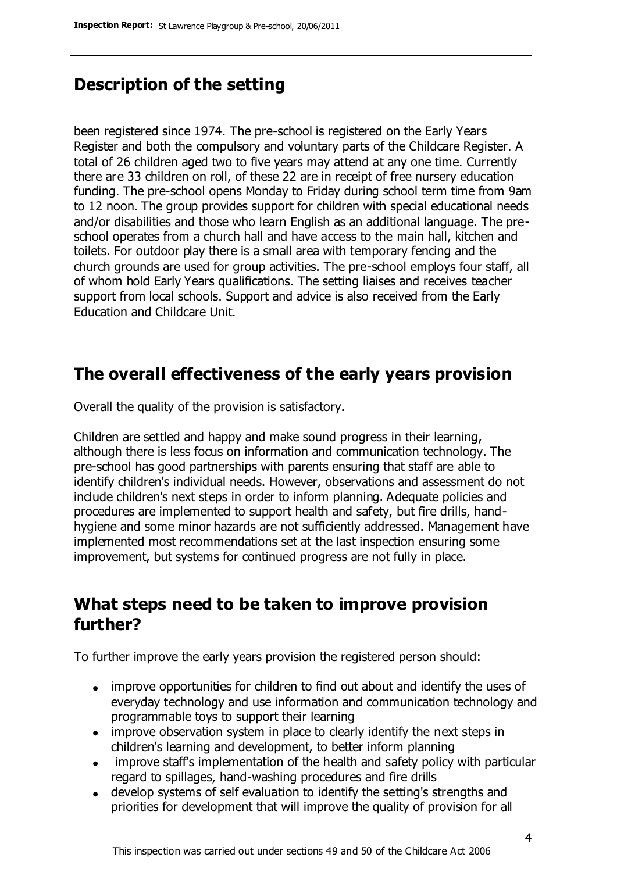### **Description of the setting**

been registered since 1974. The pre-school is registered on the Early Years Register and both the compulsory and voluntary parts of the Childcare Register. A total of 26 children aged two to five years may attend at any one time. Currently there are 33 children on roll, of these 22 are in receipt of free nursery education funding. The pre-school opens Monday to Friday during school term time from 9am to 12 noon. The group provides support for children with special educational needs and/or disabilities and those who learn English as an additional language. The preschool operates from a church hall and have access to the main hall, kitchen and toilets. For outdoor play there is a small area with temporary fencing and the church grounds are used for group activities. The pre-school employs four staff, all of whom hold Early Years qualifications. The setting liaises and receives teacher support from local schools. Support and advice is also received from the Early Education and Childcare Unit.

### **The overall effectiveness of the early years provision**

Overall the quality of the provision is satisfactory.

Children are settled and happy and make sound progress in their learning, although there is less focus on information and communication technology. The pre-school has good partnerships with parents ensuring that staff are able to identify children's individual needs. However, observations and assessment do not include children's next steps in order to inform planning. Adequate policies and procedures are implemented to support health and safety, but fire drills, handhygiene and some minor hazards are not sufficiently addressed. Management have implemented most recommendations set at the last inspection ensuring some improvement, but systems for continued progress are not fully in place.

### **What steps need to be taken to improve provision further?**

To further improve the early years provision the registered person should:

- improve opportunities for children to find out about and identify the uses of everyday technology and use information and communication technology and programmable toys to support their learning
- improve observation system in place to clearly identify the next steps in children's learning and development, to better inform planning
- improve staff's implementation of the health and safety policy with particular regard to spillages, hand-washing procedures and fire drills
- develop systems of self evaluation to identify the setting's strengths and priorities for development that will improve the quality of provision for all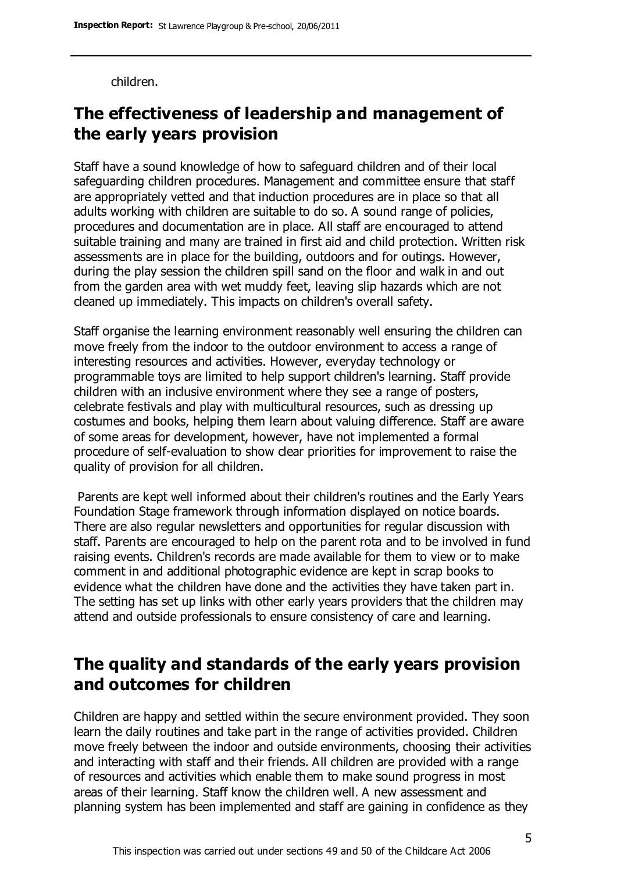children.

### **The effectiveness of leadership and management of the early years provision**

Staff have a sound knowledge of how to safeguard children and of their local safeguarding children procedures. Management and committee ensure that staff are appropriately vetted and that induction procedures are in place so that all adults working with children are suitable to do so. A sound range of policies, procedures and documentation are in place. All staff are encouraged to attend suitable training and many are trained in first aid and child protection. Written risk assessments are in place for the building, outdoors and for outings. However, during the play session the children spill sand on the floor and walk in and out from the garden area with wet muddy feet, leaving slip hazards which are not cleaned up immediately. This impacts on children's overall safety.

Staff organise the learning environment reasonably well ensuring the children can move freely from the indoor to the outdoor environment to access a range of interesting resources and activities. However, everyday technology or programmable toys are limited to help support children's learning. Staff provide children with an inclusive environment where they see a range of posters, celebrate festivals and play with multicultural resources, such as dressing up costumes and books, helping them learn about valuing difference. Staff are aware of some areas for development, however, have not implemented a formal procedure of self-evaluation to show clear priorities for improvement to raise the quality of provision for all children.

Parents are kept well informed about their children's routines and the Early Years Foundation Stage framework through information displayed on notice boards. There are also regular newsletters and opportunities for regular discussion with staff. Parents are encouraged to help on the parent rota and to be involved in fund raising events. Children's records are made available for them to view or to make comment in and additional photographic evidence are kept in scrap books to evidence what the children have done and the activities they have taken part in. The setting has set up links with other early years providers that the children may attend and outside professionals to ensure consistency of care and learning.

### **The quality and standards of the early years provision and outcomes for children**

Children are happy and settled within the secure environment provided. They soon learn the daily routines and take part in the range of activities provided. Children move freely between the indoor and outside environments, choosing their activities and interacting with staff and their friends. All children are provided with a range of resources and activities which enable them to make sound progress in most areas of their learning. Staff know the children well. A new assessment and planning system has been implemented and staff are gaining in confidence as they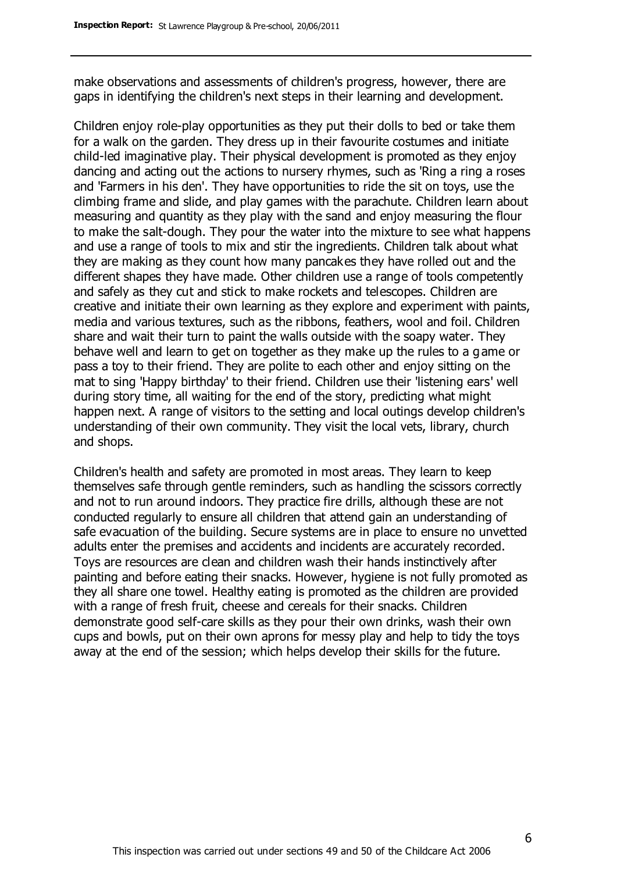make observations and assessments of children's progress, however, there are gaps in identifying the children's next steps in their learning and development.

Children enjoy role-play opportunities as they put their dolls to bed or take them for a walk on the garden. They dress up in their favourite costumes and initiate child-led imaginative play. Their physical development is promoted as they enjoy dancing and acting out the actions to nursery rhymes, such as 'Ring a ring a roses and 'Farmers in his den'. They have opportunities to ride the sit on toys, use the climbing frame and slide, and play games with the parachute. Children learn about measuring and quantity as they play with the sand and enjoy measuring the flour to make the salt-dough. They pour the water into the mixture to see what happens and use a range of tools to mix and stir the ingredients. Children talk about what they are making as they count how many pancakes they have rolled out and the different shapes they have made. Other children use a range of tools competently and safely as they cut and stick to make rockets and telescopes. Children are creative and initiate their own learning as they explore and experiment with paints, media and various textures, such as the ribbons, feathers, wool and foil. Children share and wait their turn to paint the walls outside with the soapy water. They behave well and learn to get on together as they make up the rules to a game or pass a toy to their friend. They are polite to each other and enjoy sitting on the mat to sing 'Happy birthday' to their friend. Children use their 'listening ears' well during story time, all waiting for the end of the story, predicting what might happen next. A range of visitors to the setting and local outings develop children's understanding of their own community. They visit the local vets, library, church and shops.

Children's health and safety are promoted in most areas. They learn to keep themselves safe through gentle reminders, such as handling the scissors correctly and not to run around indoors. They practice fire drills, although these are not conducted regularly to ensure all children that attend gain an understanding of safe evacuation of the building. Secure systems are in place to ensure no unvetted adults enter the premises and accidents and incidents are accurately recorded. Toys are resources are clean and children wash their hands instinctively after painting and before eating their snacks. However, hygiene is not fully promoted as they all share one towel. Healthy eating is promoted as the children are provided with a range of fresh fruit, cheese and cereals for their snacks. Children demonstrate good self-care skills as they pour their own drinks, wash their own cups and bowls, put on their own aprons for messy play and help to tidy the toys away at the end of the session; which helps develop their skills for the future.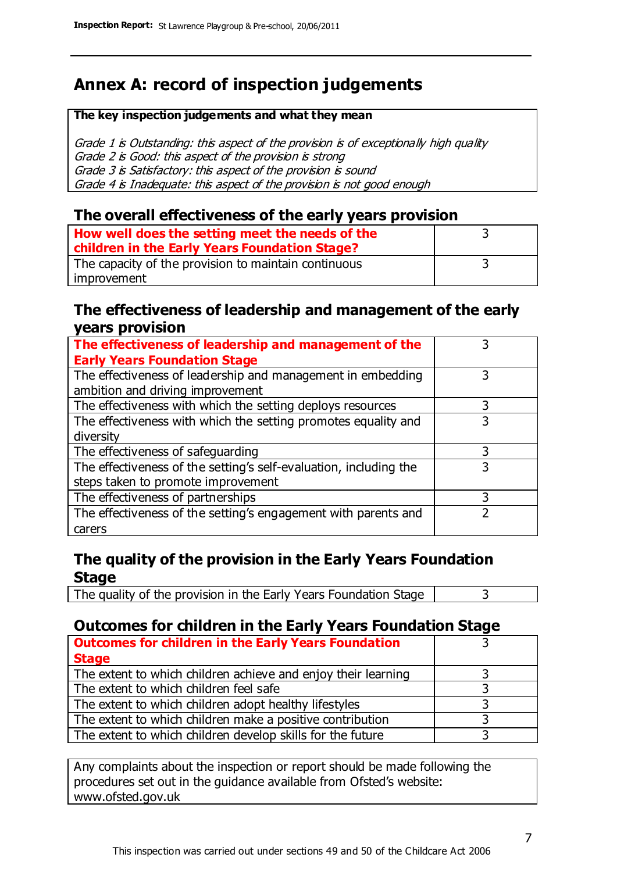### **Annex A: record of inspection judgements**

#### **The key inspection judgements and what they mean**

Grade 1 is Outstanding: this aspect of the provision is of exceptionally high quality Grade 2 is Good: this aspect of the provision is strong Grade 3 is Satisfactory: this aspect of the provision is sound Grade 4 is Inadequate: this aspect of the provision is not good enough

### **The overall effectiveness of the early years provision**

| How well does the setting meet the needs of the<br>children in the Early Years Foundation Stage? |  |
|--------------------------------------------------------------------------------------------------|--|
| The capacity of the provision to maintain continuous                                             |  |
| improvement                                                                                      |  |

### **The effectiveness of leadership and management of the early years provision**

| The effectiveness of leadership and management of the             |   |
|-------------------------------------------------------------------|---|
| <b>Early Years Foundation Stage</b>                               |   |
| The effectiveness of leadership and management in embedding       |   |
| ambition and driving improvement                                  |   |
| The effectiveness with which the setting deploys resources        |   |
| The effectiveness with which the setting promotes equality and    | 3 |
| diversity                                                         |   |
| The effectiveness of safeguarding                                 |   |
| The effectiveness of the setting's self-evaluation, including the | 3 |
| steps taken to promote improvement                                |   |
| The effectiveness of partnerships                                 | 3 |
| The effectiveness of the setting's engagement with parents and    |   |
| carers                                                            |   |

### **The quality of the provision in the Early Years Foundation Stage**

The quality of the provision in the Early Years Foundation Stage  $\vert$  3

### **Outcomes for children in the Early Years Foundation Stage**

| <b>Outcomes for children in the Early Years Foundation</b>    |  |
|---------------------------------------------------------------|--|
| <b>Stage</b>                                                  |  |
| The extent to which children achieve and enjoy their learning |  |
| The extent to which children feel safe                        |  |
| The extent to which children adopt healthy lifestyles         |  |
| The extent to which children make a positive contribution     |  |
| The extent to which children develop skills for the future    |  |

Any complaints about the inspection or report should be made following the procedures set out in the guidance available from Ofsted's website: www.ofsted.gov.uk